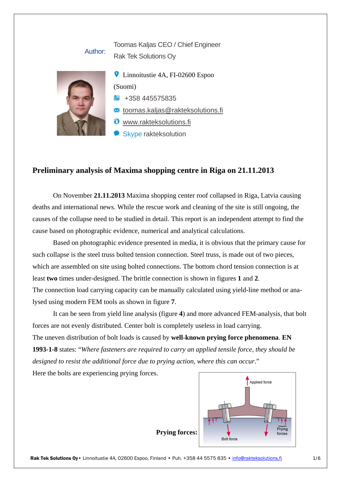## Toomas Kaljas CEO / Chief Engineer Rak Tek Solutions Oy

## Author:



**C** Linnoitustie 4A, FI-02600 Espoo (Suomi) +358 445575835

toomas.kaljas@rakteksolutions.fi

www.rakteksolutions.fi

Skype rakteksolution

## **Preliminary analysis of Maxima shopping centre in Riga on 21.11.2013**

On November **21.11.2013** Maxima shopping center roof collapsed in Riga, Latvia causing deaths and international news. While the rescue work and cleaning of the site is still ongoing, the causes of the collapse need to be studied in detail. This report is an independent attempt to find the cause based on photographic evidence, numerical and analytical calculations.

Based on photographic evidence presented in media, it is obvious that the primary cause for such collapse is the steel truss bolted tension connection. Steel truss, is made out of two pieces, which are assembled on site using bolted connections. The bottom chord tension connection is at least **two** times under-designed. The brittle connection is shown in figures **1** and **2**. The connection load carrying capacity can be manually calculated using yield-line method or analysed using modern FEM tools as shown in figure **7**.

It can be seen from yield line analysis (figure **4**) and more advanced FEM-analysis, that bolt forces are not evenly distributed. Center bolt is completely useless in load carrying.

The uneven distribution of bolt loads is caused by **well-known prying force phenomena**. **EN 1993-1-8** states: "*Where fasteners are required to carry an applied tensile force, they should be designed to resist the additional force due to prying action, where this can occur*."

Here the bolts are experiencing prying forces.

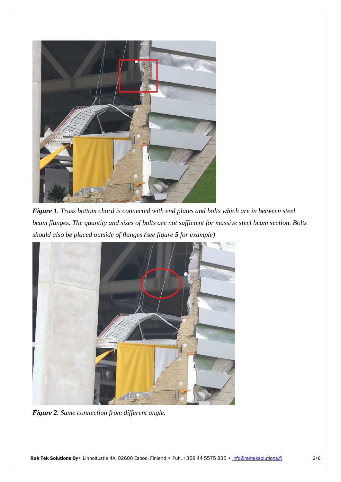

*Figure 1. Truss bottom chord is connected with end plates and bolts which are in between steel beam flanges. The quantity and sizes of bolts are not sufficient for massive steel beam section. Bolts should also be placed outside of flanges (see figure 5 for example)* 



*Figure 2. Same connection from different angle.*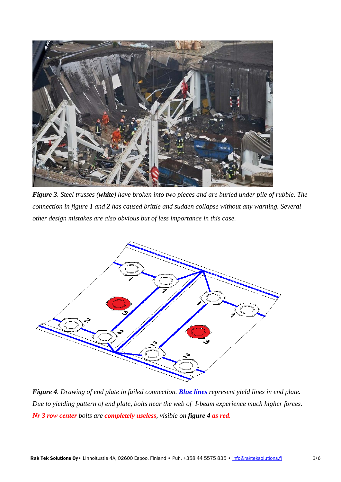

*Figure 3. Steel trusses (white) have broken into two pieces and are buried under pile of rubble. The connection in figure 1 and 2 has caused brittle and sudden collapse without any warning. Several other design mistakes are also obvious but of less importance in this case.* 



*Figure 4. Drawing of end plate in failed connection. Blue lines represent yield lines in end plate. Due to yielding pattern of end plate, bolts near the web of I-beam experience much higher forces. Nr 3 row center bolts are completely useless, visible on figure 4 as red.*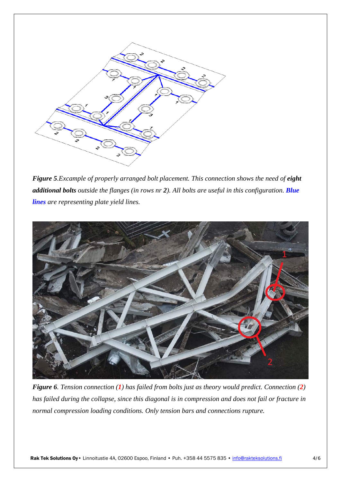

*Figure 5.Excample of properly arranged bolt placement. This connection shows the need of eight additional bolts outside the flanges (in rows nr 2). All bolts are useful in this configuration. Blue lines are representing plate yield lines.*



*Figure 6. Tension connection (1) has failed from bolts just as theory would predict. Connection (2) has failed during the collapse, since this diagonal is in compression and does not fail or fracture in normal compression loading conditions. Only tension bars and connections rupture.*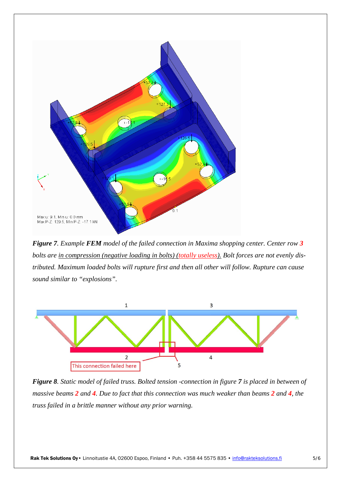

*Figure 7. Example FEM model of the failed connection in Maxima shopping center. Center row 3 bolts are in compression (negative loading in bolts) (totally useless). Bolt forces are not evenly distributed. Maximum loaded bolts will rupture first and then all other will follow. Rupture can cause sound similar to "explosions".* 



*Figure 8. Static model of failed truss. Bolted tension -connection in figure 7 is placed in between of massive beams 2 and 4. Due to fact that this connection was much weaker than beams 2 and 4, the truss failed in a brittle manner without any prior warning.*